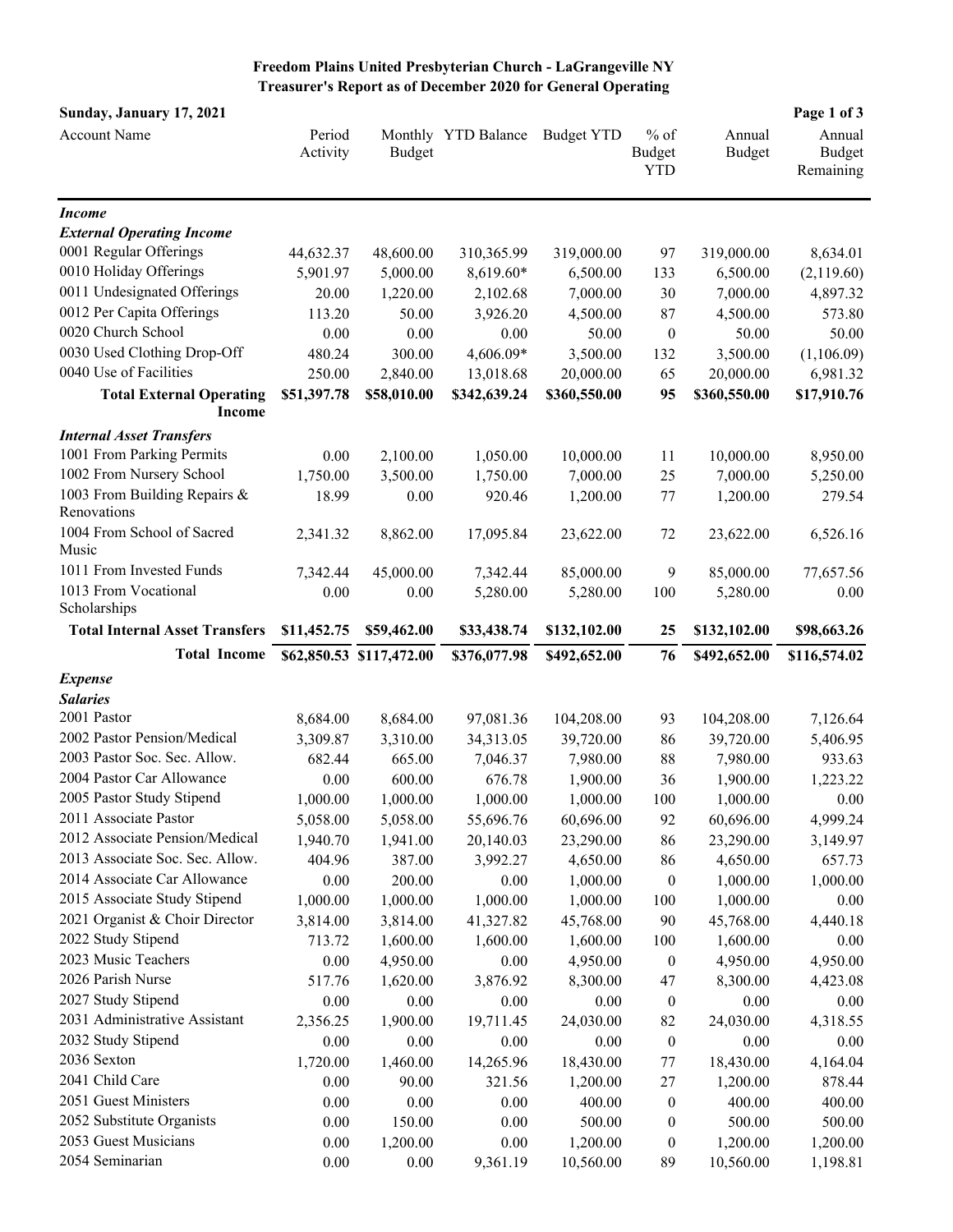**Freedom Plains United Presbyterian Church - LaGrangeville NY Treasurer's Report as of December 2020 for General Operating**

| Sunday, January 17, 2021                          |                    |                          |                     |                   |                                       |                  | Page 1 of 3                   |
|---------------------------------------------------|--------------------|--------------------------|---------------------|-------------------|---------------------------------------|------------------|-------------------------------|
| Account Name                                      | Period<br>Activity | <b>Budget</b>            | Monthly YTD Balance | <b>Budget YTD</b> | $%$ of<br><b>Budget</b><br><b>YTD</b> | Annual<br>Budget | Annual<br>Budget<br>Remaining |
| <b>Income</b>                                     |                    |                          |                     |                   |                                       |                  |                               |
| <b>External Operating Income</b>                  |                    |                          |                     |                   |                                       |                  |                               |
| 0001 Regular Offerings                            | 44,632.37          | 48,600.00                | 310,365.99          | 319,000.00        | 97                                    | 319,000.00       | 8,634.01                      |
| 0010 Holiday Offerings                            | 5,901.97           | 5,000.00                 | 8,619.60*           | 6,500.00          | 133                                   | 6,500.00         | (2,119.60)                    |
| 0011 Undesignated Offerings                       | 20.00              | 1,220.00                 | 2,102.68            | 7,000.00          | 30                                    | 7,000.00         | 4,897.32                      |
| 0012 Per Capita Offerings                         | 113.20             | 50.00                    | 3,926.20            | 4,500.00          | 87                                    | 4,500.00         | 573.80                        |
| 0020 Church School                                | 0.00               | 0.00                     | 0.00                | 50.00             | $\boldsymbol{0}$                      | 50.00            | 50.00                         |
| 0030 Used Clothing Drop-Off                       | 480.24             | 300.00                   | 4,606.09*           | 3,500.00          | 132                                   | 3,500.00         | (1,106.09)                    |
| 0040 Use of Facilities                            | 250.00             | 2,840.00                 | 13,018.68           | 20,000.00         | 65                                    | 20,000.00        | 6,981.32                      |
| <b>Total External Operating</b><br><b>Income</b>  | \$51,397.78        | \$58,010.00              | \$342,639.24        | \$360,550.00      | 95                                    | \$360,550.00     | \$17,910.76                   |
| <b>Internal Asset Transfers</b>                   |                    |                          |                     |                   |                                       |                  |                               |
| 1001 From Parking Permits                         | 0.00               | 2,100.00                 | 1,050.00            | 10,000.00         | 11                                    | 10,000.00        | 8,950.00                      |
| 1002 From Nursery School                          | 1,750.00           | 3,500.00                 | 1,750.00            | 7,000.00          | 25                                    | 7,000.00         | 5,250.00                      |
| 1003 From Building Repairs &<br>Renovations       | 18.99              | 0.00                     | 920.46              | 1,200.00          | $77 \,$                               | 1,200.00         | 279.54                        |
| 1004 From School of Sacred<br>Music               | 2,341.32           | 8,862.00                 | 17,095.84           | 23,622.00         | 72                                    | 23,622.00        | 6,526.16                      |
| 1011 From Invested Funds                          | 7,342.44           | 45,000.00                | 7,342.44            | 85,000.00         | 9                                     | 85,000.00        | 77,657.56                     |
| 1013 From Vocational<br>Scholarships              | 0.00               | 0.00                     | 5,280.00            | 5,280.00          | 100                                   | 5,280.00         | 0.00                          |
| <b>Total Internal Asset Transfers</b>             | \$11,452.75        | \$59,462.00              | \$33,438.74         | \$132,102.00      | 25                                    | \$132,102.00     | \$98,663.26                   |
| <b>Total Income</b>                               |                    | \$62,850.53 \$117,472.00 | \$376,077.98        | \$492,652.00      | 76                                    | \$492,652.00     | \$116,574.02                  |
| <b>Expense</b>                                    |                    |                          |                     |                   |                                       |                  |                               |
| <b>Salaries</b>                                   |                    |                          |                     |                   |                                       |                  |                               |
| 2001 Pastor                                       | 8,684.00           | 8,684.00                 | 97,081.36           | 104,208.00        | 93                                    | 104,208.00       | 7,126.64                      |
| 2002 Pastor Pension/Medical                       | 3,309.87           | 3,310.00                 | 34,313.05           | 39,720.00         | 86                                    | 39,720.00        | 5,406.95                      |
| 2003 Pastor Soc. Sec. Allow.                      | 682.44             | 665.00                   | 7,046.37            | 7,980.00          | 88                                    | 7,980.00         | 933.63                        |
| 2004 Pastor Car Allowance                         | 0.00               | 600.00                   | 676.78              | 1,900.00          | 36                                    | 1,900.00         | 1,223.22                      |
| 2005 Pastor Study Stipend                         | 1,000.00           | 1,000.00                 | 1,000.00            | 1,000.00          | 100                                   | 1,000.00         | 0.00                          |
| 2011 Associate Pastor                             | 5,058.00           | 5,058.00                 | 55,696.76           | 60,696.00         | 92                                    | 60,696.00        | 4,999.24                      |
| 2012 Associate Pension/Medical                    | 1,940.70           | 1,941.00                 | 20,140.03           | 23,290.00         | 86                                    | 23,290.00        | 3,149.97                      |
| 2013 Associate Soc. Sec. Allow.                   | 404.96             | 387.00                   | 3,992.27            | 4,650.00          | 86                                    | 4,650.00         | 657.73                        |
| 2014 Associate Car Allowance                      | 0.00               | 200.00                   | 0.00                | 1,000.00          | $\boldsymbol{0}$                      | 1,000.00         | 1,000.00                      |
| 2015 Associate Study Stipend                      | 1,000.00           | 1,000.00                 | 1,000.00            | 1,000.00          | 100                                   | 1,000.00         | 0.00                          |
| 2021 Organist & Choir Director                    | 3,814.00           | 3,814.00                 | 41,327.82           | 45,768.00         | 90                                    | 45,768.00        | 4,440.18                      |
| 2022 Study Stipend                                | 713.72             | 1,600.00                 | 1,600.00            | 1,600.00          | 100                                   | 1,600.00         | 0.00                          |
| 2023 Music Teachers                               | 0.00               | 4,950.00                 | $0.00\,$            | 4,950.00          | $\boldsymbol{0}$                      | 4,950.00         | 4,950.00                      |
| 2026 Parish Nurse                                 | 517.76             | 1,620.00                 | 3,876.92            | 8,300.00          | 47                                    | 8,300.00         | 4,423.08                      |
| 2027 Study Stipend                                | 0.00               | 0.00                     | 0.00                | 0.00              | $\boldsymbol{0}$                      | 0.00             | 0.00                          |
| 2031 Administrative Assistant                     | 2,356.25           | 1,900.00                 | 19,711.45           | 24,030.00         | 82                                    | 24,030.00        | 4,318.55                      |
| 2032 Study Stipend                                | 0.00               | 0.00                     | 0.00                | 0.00              | $\boldsymbol{0}$                      | 0.00             | 0.00                          |
| 2036 Sexton                                       | 1,720.00           | 1,460.00                 | 14,265.96           | 18,430.00         | 77                                    | 18,430.00        | 4,164.04                      |
| 2041 Child Care                                   | 0.00               | 90.00                    | 321.56              | 1,200.00          | 27                                    | 1,200.00         | 878.44                        |
| 2051 Guest Ministers                              | 0.00               | 0.00                     | 0.00                | 400.00            | $\boldsymbol{0}$                      | 400.00           | 400.00                        |
| 2052 Substitute Organists<br>2053 Guest Musicians | 0.00               | 150.00                   | 0.00                | 500.00            | 0                                     | 500.00           | 500.00                        |
| 2054 Seminarian                                   | 0.00               | 1,200.00                 | $0.00\,$            | 1,200.00          | 0                                     | 1,200.00         | 1,200.00                      |
|                                                   | 0.00               | 0.00                     | 9,361.19            | 10,560.00         | 89                                    | 10,560.00        | 1,198.81                      |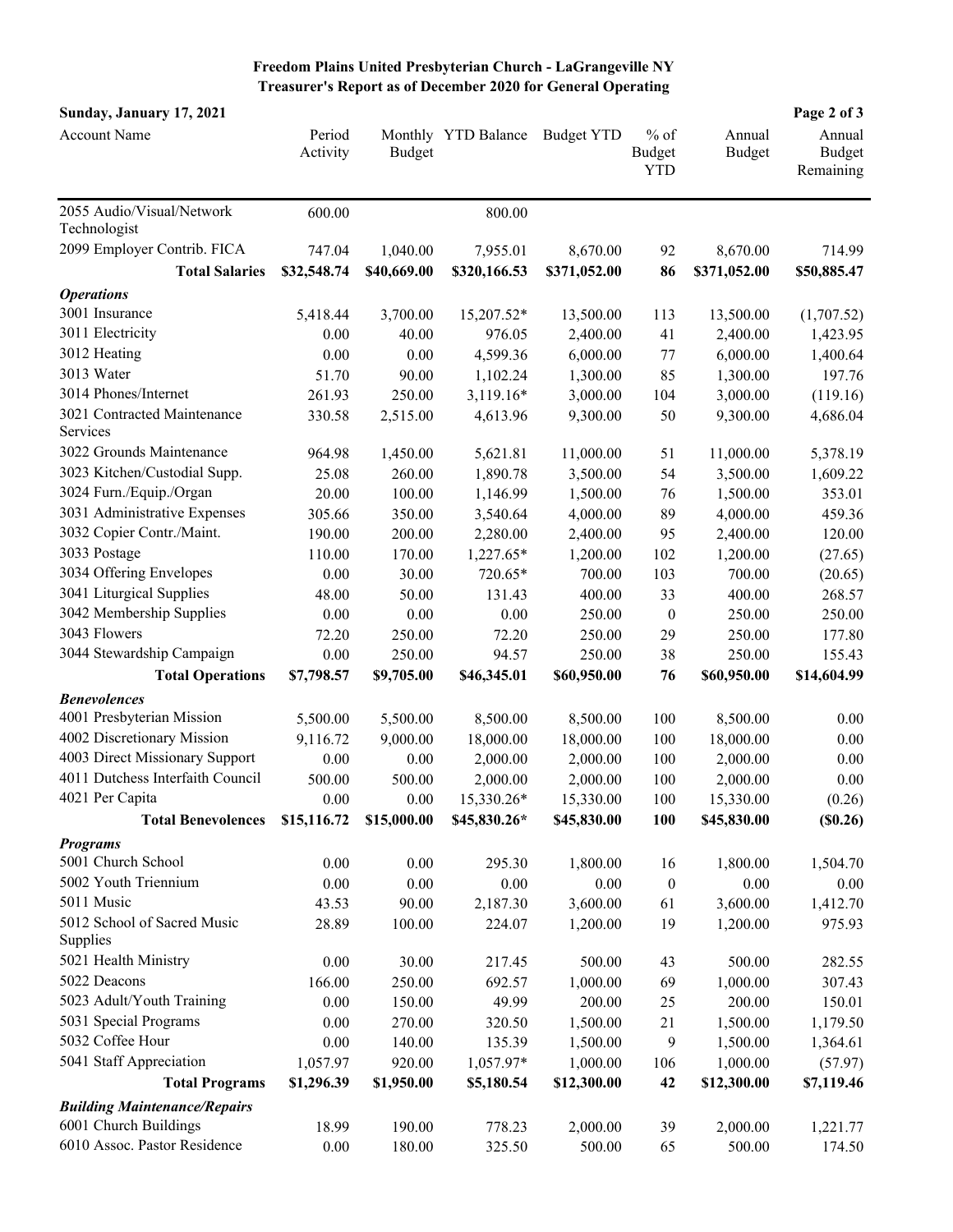## **Freedom Plains United Presbyterian Church - LaGrangeville NY Treasurer's Report as of December 2020 for General Operating**

| Sunday, January 17, 2021                                     |                    |               |                     |                   |                                       |                  | Page 2 of 3                          |
|--------------------------------------------------------------|--------------------|---------------|---------------------|-------------------|---------------------------------------|------------------|--------------------------------------|
| <b>Account Name</b>                                          | Period<br>Activity | <b>Budget</b> | Monthly YTD Balance | <b>Budget YTD</b> | $%$ of<br><b>Budget</b><br><b>YTD</b> | Annual<br>Budget | Annual<br><b>Budget</b><br>Remaining |
|                                                              |                    |               |                     |                   |                                       |                  |                                      |
| 2055 Audio/Visual/Network<br>Technologist                    | 600.00             |               | 800.00              |                   |                                       |                  |                                      |
| 2099 Employer Contrib. FICA                                  | 747.04             | 1,040.00      | 7,955.01            | 8,670.00          | 92                                    | 8,670.00         | 714.99                               |
| <b>Total Salaries</b>                                        | \$32,548.74        | \$40,669.00   | \$320,166.53        | \$371,052.00      | 86                                    | \$371,052.00     | \$50,885.47                          |
| <b>Operations</b>                                            |                    |               |                     |                   |                                       |                  |                                      |
| 3001 Insurance                                               | 5,418.44           | 3,700.00      | 15,207.52*          | 13,500.00         | 113                                   | 13,500.00        | (1,707.52)                           |
| 3011 Electricity                                             | 0.00               | 40.00         | 976.05              | 2,400.00          | 41                                    | 2,400.00         | 1,423.95                             |
| 3012 Heating                                                 | 0.00               | 0.00          | 4,599.36            | 6,000.00          | $77 \,$                               | 6,000.00         | 1,400.64                             |
| 3013 Water                                                   | 51.70              | 90.00         | 1,102.24            | 1,300.00          | 85                                    | 1,300.00         | 197.76                               |
| 3014 Phones/Internet                                         | 261.93             | 250.00        | 3,119.16*           | 3,000.00          | 104                                   | 3,000.00         | (119.16)                             |
| 3021 Contracted Maintenance                                  | 330.58             | 2,515.00      | 4,613.96            | 9,300.00          | 50                                    | 9,300.00         | 4,686.04                             |
| Services                                                     |                    |               |                     |                   |                                       |                  |                                      |
| 3022 Grounds Maintenance                                     | 964.98             | 1,450.00      | 5,621.81            | 11,000.00         | 51                                    | 11,000.00        | 5,378.19                             |
| 3023 Kitchen/Custodial Supp.                                 | 25.08              | 260.00        | 1,890.78            | 3,500.00          | 54                                    | 3,500.00         | 1,609.22                             |
| 3024 Furn./Equip./Organ                                      | 20.00              | 100.00        | 1,146.99            | 1,500.00          | 76                                    | 1,500.00         | 353.01                               |
| 3031 Administrative Expenses                                 | 305.66             | 350.00        | 3,540.64            | 4,000.00          | 89                                    | 4,000.00         | 459.36                               |
| 3032 Copier Contr./Maint.                                    | 190.00             | 200.00        | 2,280.00            | 2,400.00          | 95                                    | 2,400.00         | 120.00                               |
| 3033 Postage                                                 | 110.00             | 170.00        | 1,227.65*           | 1,200.00          | 102                                   | 1,200.00         | (27.65)                              |
| 3034 Offering Envelopes                                      | 0.00               | 30.00         | 720.65*             | 700.00            | 103                                   | 700.00           | (20.65)                              |
| 3041 Liturgical Supplies                                     | 48.00              | 50.00         | 131.43              | 400.00            | 33                                    | 400.00           | 268.57                               |
| 3042 Membership Supplies                                     | 0.00               | 0.00          | 0.00                | 250.00            | $\boldsymbol{0}$                      | 250.00           | 250.00                               |
| 3043 Flowers                                                 | 72.20              | 250.00        | 72.20               | 250.00            | 29                                    | 250.00           | 177.80                               |
| 3044 Stewardship Campaign                                    | 0.00               | 250.00        | 94.57               | 250.00            | 38                                    | 250.00           | 155.43                               |
| <b>Total Operations</b>                                      | \$7,798.57         | \$9,705.00    | \$46,345.01         | \$60,950.00       | 76                                    | \$60,950.00      | \$14,604.99                          |
| <b>Benevolences</b>                                          |                    |               |                     |                   |                                       |                  |                                      |
| 4001 Presbyterian Mission                                    | 5,500.00           | 5,500.00      | 8,500.00            | 8,500.00          | 100                                   | 8,500.00         | 0.00                                 |
| 4002 Discretionary Mission                                   | 9,116.72           | 9,000.00      | 18,000.00           | 18,000.00         | 100                                   | 18,000.00        | 0.00                                 |
| 4003 Direct Missionary Support                               | 0.00               | 0.00          | 2,000.00            | 2,000.00          | 100                                   | 2,000.00         | 0.00                                 |
| 4011 Dutchess Interfaith Council                             | 500.00             | 500.00        | 2,000.00            | 2,000.00          | 100                                   | 2,000.00         | 0.00                                 |
| 4021 Per Capita                                              | 0.00               | 0.00          | 15,330.26*          | 15,330.00         | 100                                   | 15,330.00        | (0.26)                               |
| <b>Total Benevolences</b>                                    | \$15,116.72        | \$15,000.00   | \$45,830.26*        | \$45,830.00       | 100                                   | \$45,830.00      | (\$0.26)                             |
| <b>Programs</b>                                              |                    |               |                     |                   |                                       |                  |                                      |
| 5001 Church School                                           | 0.00               | 0.00          | 295.30              | 1,800.00          | 16                                    | 1,800.00         | 1,504.70                             |
| 5002 Youth Triennium                                         | 0.00               | 0.00          | 0.00                | 0.00              | $\boldsymbol{0}$                      | 0.00             | 0.00                                 |
| 5011 Music                                                   | 43.53              | 90.00         | 2,187.30            | 3,600.00          | 61                                    | 3,600.00         | 1,412.70                             |
| 5012 School of Sacred Music<br>Supplies                      | 28.89              | 100.00        | 224.07              | 1,200.00          | 19                                    | 1,200.00         | 975.93                               |
| 5021 Health Ministry                                         | 0.00               | 30.00         | 217.45              | 500.00            | 43                                    | 500.00           | 282.55                               |
| 5022 Deacons                                                 | 166.00             | 250.00        | 692.57              | 1,000.00          | 69                                    | 1,000.00         | 307.43                               |
| 5023 Adult/Youth Training                                    | 0.00               | 150.00        | 49.99               | 200.00            | 25                                    | 200.00           | 150.01                               |
| 5031 Special Programs                                        | 0.00               | 270.00        | 320.50              | 1,500.00          | 21                                    | 1,500.00         | 1,179.50                             |
| 5032 Coffee Hour                                             | 0.00               | 140.00        | 135.39              | 1,500.00          | 9                                     | 1,500.00         | 1,364.61                             |
| 5041 Staff Appreciation                                      | 1,057.97           | 920.00        | 1,057.97*           | 1,000.00          | 106                                   | 1,000.00         | (57.97)                              |
| <b>Total Programs</b>                                        | \$1,296.39         | \$1,950.00    | \$5,180.54          | \$12,300.00       | 42                                    | \$12,300.00      | \$7,119.46                           |
|                                                              |                    |               |                     |                   |                                       |                  |                                      |
| <b>Building Maintenance/Repairs</b><br>6001 Church Buildings | 18.99              | 190.00        | 778.23              | 2,000.00          |                                       | 2,000.00         |                                      |
| 6010 Assoc. Pastor Residence                                 | 0.00               | 180.00        | 325.50              | 500.00            | 39<br>65                              | 500.00           | 1,221.77<br>174.50                   |
|                                                              |                    |               |                     |                   |                                       |                  |                                      |